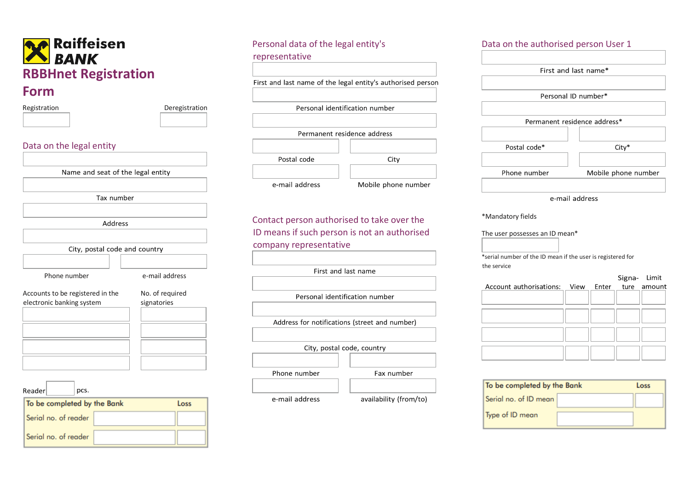| Registration                                                  | Deregistration                 |
|---------------------------------------------------------------|--------------------------------|
| Data on the legal entity                                      |                                |
| Name and seat of the legal entity                             |                                |
| Tax number                                                    |                                |
| Address                                                       |                                |
| City, postal code and country                                 |                                |
| Phone number                                                  | e-mail address                 |
| Accounts to be registered in the<br>electronic banking system | No. of required<br>signatories |
| Readerl<br>pcs.                                               |                                |
| To be completed by the Bank<br>Serial no. of reader           | Loss                           |
|                                                               |                                |

| Personal data of the legal entity's                         |                     |  |  |
|-------------------------------------------------------------|---------------------|--|--|
| representative                                              |                     |  |  |
|                                                             |                     |  |  |
| First and last name of the legal entity's authorised person |                     |  |  |
|                                                             |                     |  |  |
| Personal identification number                              |                     |  |  |
|                                                             |                     |  |  |
| Permanent residence address                                 |                     |  |  |
|                                                             |                     |  |  |
| Postal code                                                 | City                |  |  |
|                                                             |                     |  |  |
| e-mail address                                              | Mobile phone number |  |  |
|                                                             |                     |  |  |

Contact person authorised to take over the ID means if such person is not an authorised company representative

First and last name Personal identification number Address for notifications (street and number) City, postal code, country Phone number Fax number availability (from/to) e-mail address

# Data on the authorised person User 1 First and last name\* Personal ID number\* Permanent residence address\* Postal code\* City\* Phone number Mobile phone number e-mail address

\*Mandatory fields

The user possesses an ID mean\*

\*serial number of the ID mean if the user is registered for the service

|                                                |  | Signa- Limit |  |
|------------------------------------------------|--|--------------|--|
| Account authorisations: View Enter ture amount |  |              |  |
|                                                |  |              |  |
|                                                |  |              |  |
|                                                |  |              |  |
|                                                |  |              |  |
|                                                |  |              |  |
|                                                |  |              |  |
|                                                |  |              |  |

| To be completed by the Bank |  | Loss |
|-----------------------------|--|------|
| Serial no. of ID mean       |  |      |
| Type of ID mean             |  |      |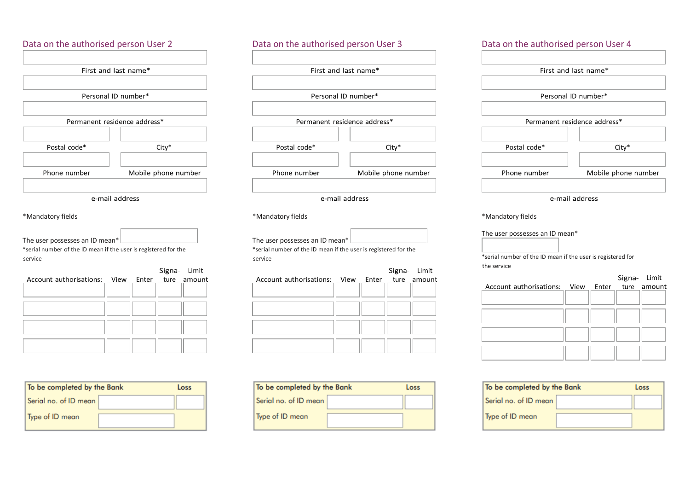

| To be completed by the Bank | Loss |
|-----------------------------|------|
| Serial no. of ID mean       |      |
| Type of ID mean             |      |

| Data on the authorised person User 3 |                      |  |  |  |  |
|--------------------------------------|----------------------|--|--|--|--|
|                                      |                      |  |  |  |  |
|                                      | First and last name* |  |  |  |  |
|                                      |                      |  |  |  |  |
|                                      | Personal ID number*  |  |  |  |  |
|                                      |                      |  |  |  |  |
| Permanent residence address*         |                      |  |  |  |  |
|                                      |                      |  |  |  |  |
| Postal code*<br>$City*$              |                      |  |  |  |  |
|                                      |                      |  |  |  |  |
| Phone number<br>Mobile phone number  |                      |  |  |  |  |
|                                      |                      |  |  |  |  |
| e-mail address                       |                      |  |  |  |  |

\*Mandatory fields

| The user possesses an ID mean* $\lfloor$                        |  |
|-----------------------------------------------------------------|--|
| *serial number of the ID mean if the user is registered for the |  |
| service                                                         |  |

|                                                |  | Signa- Limit |
|------------------------------------------------|--|--------------|
| Account authorisations: View Enter ture amount |  |              |
|                                                |  |              |
|                                                |  |              |
|                                                |  |              |
|                                                |  |              |
|                                                |  |              |
|                                                |  |              |
|                                                |  |              |
|                                                |  |              |
|                                                |  |              |

| To be completed by the Bank |  | Loss |
|-----------------------------|--|------|
| Serial no. of ID mean       |  |      |
| Type of ID mean             |  |      |

| Data on the authorised person User 4 |         |  |  |  |
|--------------------------------------|---------|--|--|--|
|                                      |         |  |  |  |
| First and last name*                 |         |  |  |  |
|                                      |         |  |  |  |
| Personal ID number*                  |         |  |  |  |
|                                      |         |  |  |  |
| Permanent residence address*         |         |  |  |  |
|                                      |         |  |  |  |
| Postal code*                         | $City*$ |  |  |  |
|                                      |         |  |  |  |
| Phone number<br>Mobile phone number  |         |  |  |  |
|                                      |         |  |  |  |
| e-mail address                       |         |  |  |  |

\*Mandatory fields

The user possesses an ID mean\*

\*serial number of the ID mean if the user is registered for the service

|                                                |  | Signa- Limit |  |
|------------------------------------------------|--|--------------|--|
| Account authorisations: View Enter ture amount |  |              |  |
|                                                |  |              |  |
|                                                |  |              |  |
|                                                |  |              |  |
|                                                |  |              |  |
|                                                |  |              |  |

| To be completed by the Bank |  | Loss |
|-----------------------------|--|------|
| l Serial no. of ID mean     |  |      |
| Type of ID mean             |  |      |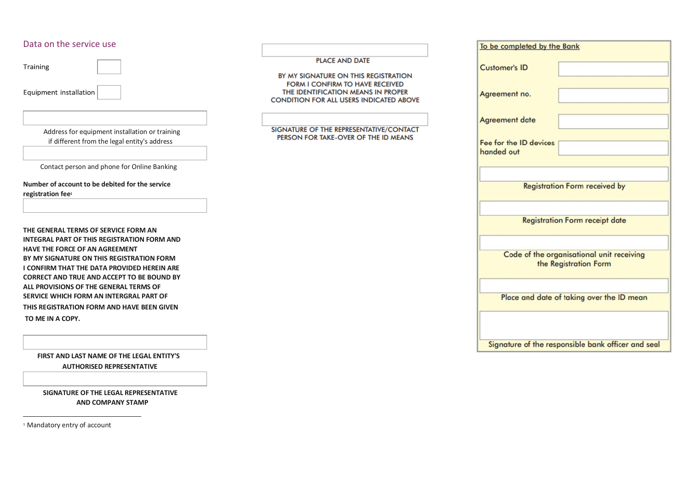# Data on the service use

Training

Equipment installation

 Address for equipment installation or training if different from the legal entity's address

I

**PLACE AND DATE** 

BY MY SIGNATURE ON THIS REGISTRATION **FORM I CONFIRM TO HAVE RECEIVED** 

THE IDENTIFICATION MEANS IN PROPER **CONDITION FOR ALL USERS INDICATED ABOVE** 

SIGNATURE OF THE REPRESENTATIVE/CONTACT PERSON FOR TAKE-OVER OF THE ID MEANS

Contact person and phone for Online Banking

**Number of account to be debited for the service registration fee<sup>1</sup>**

**THE GENERAL TERMS OF SERVICE FORM AN INTEGRAL PART OF THIS REGISTRATION FORM AND HAVE THE FORCE OF AN AGREEMENT BY MY SIGNATURE ON THIS REGISTRATION FORM I CONFIRM THAT THE DATA PROVIDED HEREIN ARE CORRECT AND TRUE AND ACCEPT TO BE BOUND BY ALL PROVISIONS OF THE GENERAL TERMS OF SERVICE WHICH FORM AN INTERGRAL PART OF THIS REGISTRATION FORM AND HAVE BEEN GIVEN TO ME IN A COPY.** 

 **FIRST AND LAST NAME OF THE LEGAL ENTITY'S AUTHORISED REPRESENTATIVE**

 **SIGNATURE OF THE LEGAL REPRESENTATIVE AND COMPANY STAMP** 

<sup>1</sup> Mandatory entry of account

 $\overline{a}$ 

| To be completed by the Bank          |                                                                    |
|--------------------------------------|--------------------------------------------------------------------|
| <b>Customer's ID</b>                 |                                                                    |
| Agreement no.                        |                                                                    |
| <b>Agreement date</b>                |                                                                    |
| Fee for the ID devices<br>handed out |                                                                    |
|                                      |                                                                    |
|                                      | <b>Registration Form received by</b>                               |
|                                      | <b>Registration Form receipt date</b>                              |
|                                      |                                                                    |
|                                      | Code of the organisational unit receiving<br>the Registration Form |
|                                      | Place and date of taking over the ID mean                          |
|                                      |                                                                    |
|                                      |                                                                    |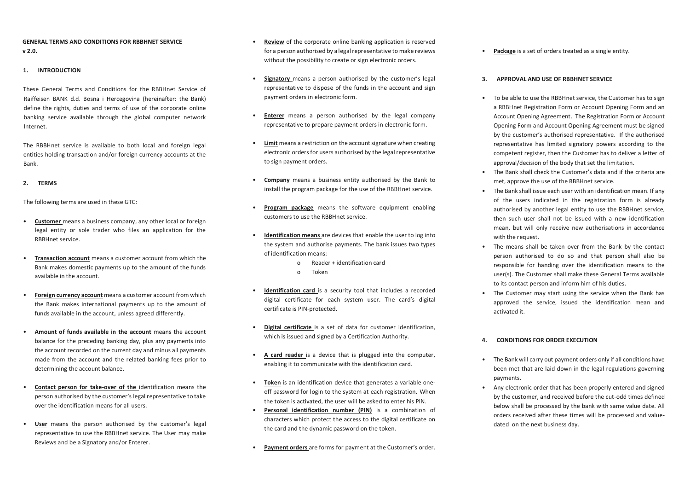# **GENERAL TERMS AND CONDITIONS FOR RBBHNET SERVICE v 2.0.**

#### **1. INTRODUCTION**

These General Terms and Conditions for the RBBHnet Service of Raiffeisen BANK d.d. Bosna i Hercegovina (hereinafter: the Bank) define the rights, duties and terms of use of the corporate online banking service available through the global computer network Internet.

The RBBHnet service is available to both local and foreign legal entities holding transaction and/or foreign currency accounts at the Bank.

#### **2. TERMS**

The following terms are used in these GTC:

- **Customer** means a business company, any other local or foreign legal entity or sole trader who files an application for the RBBHnet service.
- **Transaction account** means a customer account from which the Bank makes domestic payments up to the amount of the funds available in the account.
- **Foreign currency account** means a customer account from which the Bank makes international payments up to the amount of funds available in the account, unless agreed differently.
- **Amount of funds available in the account** means the account balance for the preceding banking day, plus any payments into the account recorded on the current day and minus all payments made from the account and the related banking fees prior to determining the account balance.
- **Contact person for take-over of the** identification means the person authorised by the customer's legal representative to take over the identification means for all users.
- **User** means the person authorised by the customer's legal representative to use the RBBHnet service. The User may make Reviews and be a Signatory and/or Enterer.
- **Review** of the corporate online banking application is reserved for a person authorised by a legal representative to make reviews without the possibility to create or sign electronic orders.
- **Signatory** means a person authorised by the customer's legal representative to dispose of the funds in the account and sign payment orders in electronic form.
- **Enterer** means a person authorised by the legal company representative to prepare payment orders in electronic form.
- **Limit** means a restriction on the account signature when creating electronic orders for users authorised by the legal representative to sign payment orders.
- **Company** means a business entity authorised by the Bank to install the program package for the use of the RBBHnet service.
- **Program package** means the software equipment enabling customers to use the RBBHnet service.
- **Identification means** are devices that enable the user to log into the system and authorise payments. The bank issues two types of identification means:
	- o Reader + identification card
	- o Token
- **Identification card** is a security tool that includes a recorded digital certificate for each system user. The card's digital certificate is PIN-protected.
- **Digital certificate** is a set of data for customer identification, which is issued and signed by a Certification Authority.
- **A card reader** is a device that is plugged into the computer, enabling it to communicate with the identification card.
- **Token** is an identification device that generates a variable oneoff password for login to the system at each registration. When the token is activated, the user will be asked to enter his PIN.
- **Personal identification number (PIN)** is a combination of characters which protect the access to the digital certificate on the card and the dynamic password on the token.
- **Payment orders** are forms for payment at the Customer's order.

• **Package** is a set of orders treated as a single entity.

#### **3. APPROVAL AND USE OF RBBHNET SERVICE**

- To be able to use the RBBHnet service, the Customer has to sign a RBBHnet Registration Form or Account Opening Form and an Account Opening Agreement. The Registration Form or Account Opening Form and Account Opening Agreement must be signed by the customer's authorised representative. If the authorised representative has limited signatory powers according to the competent register, then the Customer has to deliver a letter of approval/decision of the body that set the limitation.
- The Bank shall check the Customer's data and if the criteria are met, approve the use of the RBBHnet service.
- The Bank shall issue each user with an identification mean. If any of the users indicated in the registration form is already authorised by another legal entity to use the RBBHnet service, then such user shall not be issued with a new identification mean, but will only receive new authorisations in accordance with the request.
- The means shall be taken over from the Bank by the contact person authorised to do so and that person shall also be responsible for handing over the identification means to the user(s). The Customer shall make these General Terms available to its contact person and inform him of his duties.
- The Customer may start using the service when the Bank has approved the service, issued the identification mean and activated it.

#### **4. CONDITIONS FOR ORDER EXECUTION**

- The Bank will carry out payment orders only if all conditions have been met that are laid down in the legal regulations governing payments.
- Any electronic order that has been properly entered and signed by the customer, and received before the cut-odd times defined below shall be processed by the bank with same value date. All orders received after these times will be processed and valuedated on the next business day.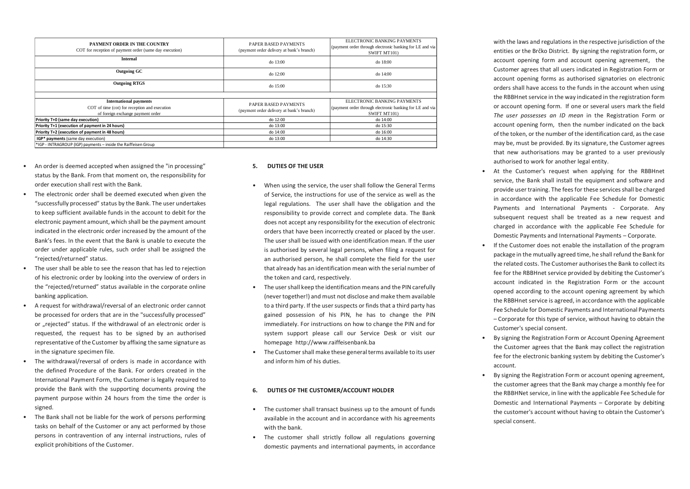| PAYMENT ORDER IN THE COUNTRY<br>COT for reception of payment order (same day execution) | PAPER BASED PAYMENTS<br>(payment order delivery at bank's branch) | ELECTRONIC BANKING PAYMENTS<br>(payment order through electronic banking for LE and via<br>SWIFT MT101) |
|-----------------------------------------------------------------------------------------|-------------------------------------------------------------------|---------------------------------------------------------------------------------------------------------|
| <b>Internal</b>                                                                         | do 13:00                                                          | do 18:00                                                                                                |
| <b>Outgoing GC</b>                                                                      | do 12:00                                                          | do $14:00$                                                                                              |
| <b>Outgoing RTGS</b>                                                                    | do 15:00                                                          | do 15:30                                                                                                |
|                                                                                         |                                                                   |                                                                                                         |
| <b>International payments</b>                                                           | PAPER BASED PAYMENTS<br>(payment order delivery at bank's branch) | ELECTRONIC BANKING PAYMENTS                                                                             |
| COT of time (cot) for reception and execution                                           |                                                                   | (payment order through electronic banking for LE and via                                                |
| of foreign exchange payment order                                                       |                                                                   | SWIFT MT101)                                                                                            |
| Priority T+0 (same day execution)                                                       | do 12:00                                                          | do 14:00                                                                                                |
| Priority T+1 (execution of payment in 24 hours)                                         | do 13:00                                                          | do 15:30                                                                                                |
| Priority T+2 (execution of payment in 48 hours)                                         | do 14:00                                                          | do 16:00                                                                                                |
| IGP* payments (same day execution)                                                      | do 13:00                                                          | do 14:30                                                                                                |
| *IGP - INTRAGROUP (IGP) payments - inside the Raiffeisen Group                          |                                                                   |                                                                                                         |

- An order is deemed accepted when assigned the "in processing" status by the Bank. From that moment on, the responsibility for order execution shall rest with the Bank.
- The electronic order shall be deemed executed when given the "successfully processed" status by the Bank. The user undertakes to keep sufficient available funds in the account to debit for the electronic payment amount, which shall be the payment amount indicated in the electronic order increased by the amount of the Bank's fees. In the event that the Bank is unable to execute the order under applicable rules, such order shall be assigned the "rejected/returned" status.
- The user shall be able to see the reason that has led to rejection of his electronic order by looking into the overview of orders in the "rejected/returned" status available in the corporate online banking application.
- A request for withdrawal/reversal of an electronic order cannot be processed for orders that are in the "successfully processed" or "rejected" status. If the withdrawal of an electronic order is requested, the request has to be signed by an authorised representative of the Customer by affixing the same signature as in the signature specimen file.
- The withdrawal/reversal of orders is made in accordance with the defined Procedure of the Bank. For orders created in the International Payment Form, the Customer is legally required to provide the Bank with the supporting documents proving the payment purpose within 24 hours from the time the order is signed.
- The Bank shall not be liable for the work of persons performing tasks on behalf of the Customer or any act performed by those persons in contravention of any internal instructions, rules of explicit prohibitions of the Customer.

#### **5. DUTIES OF THE USER**

- When using the service, the user shall follow the General Terms of Service, the instructions for use of the service as well as the legal regulations. The user shall have the obligation and the responsibility to provide correct and complete data. The Bank does not accept any responsibility for the execution of electronic orders that have been incorrectly created or placed by the user. The user shall be issued with one identification mean. If the user is authorised by several legal persons, when filing a request for an authorised person, he shall complete the field for the user that already has an identification mean with the serial number of the token and card, respectively.
- The user shall keep the identification means and the PIN carefully (never together!) and must not disclose and make them available to a third party. If the user suspects or finds that a third party has gained possession of his PIN, he has to change the PIN immediately. For instructions on how to change the PIN and for system support please call our Service Desk or visit our homepage http://www.raiffeisenbank.ba
- The Customer shall make these general terms available to its user and inform him of his duties.

#### **6. DUTIES OF THE CUSTOMER/ACCOUNT HOLDER**

- The customer shall transact business up to the amount of funds available in the account and in accordance with his agreements with the bank.
- The customer shall strictly follow all regulations governing domestic payments and international payments, in accordance

with the laws and regulations in the respective jurisdiction of the entities or the Brčko District. By signing the registration form, or account opening form and account opening agreement, the Customer agrees that all users indicated in Registration Form or account opening forms as authorised signatories on electronic orders shall have access to the funds in the account when using the RBBHnet service in the way indicated in the registration form or account opening form. If one or several users mark the field *The user possesses an ID mean* in the Registration Form or account opening form, then the number indicated on the back of the token, or the number of the identification card, as the case may be, must be provided. By its signature, the Customer agrees that new authorisations may be granted to a user previously authorised to work for another legal entity.

- At the Customer's request when applying for the RBBHnet service, the Bank shall install the equipment and software and provide user training. The fees for these services shall be charged in accordance with the applicable Fee Schedule for Domestic Payments and International Payments - Corporate. Any subsequent request shall be treated as a new request and charged in accordance with the applicable Fee Schedule for Domestic Payments and International Payments – Corporate.
- If the Customer does not enable the installation of the program package in the mutually agreed time, he shall refund the Bank for the related costs. The Customer authorises the Bank to collect its fee for the RBBHnet service provided by debiting the Customer's account indicated in the Registration Form or the account opened according to the account opening agreement by which the RBBHnet service is agreed, in accordance with the applicable Fee Schedule for Domestic Payments and International Payments – Corporate for this type of service, without having to obtain the Customer's special consent.
- By signing the Registration Form or Account Opening Agreement the Customer agrees that the Bank may collect the registration fee for the electronic banking system by debiting the Customer's account.
- By signing the Registration Form or account opening agreement, the customer agrees that the Bank may charge a monthly fee for the RBBHNet service, in line with the applicable Fee Schedule for Domestic and International Payments – Corporate by debiting the customer's account without having to obtain the Customer's special consent.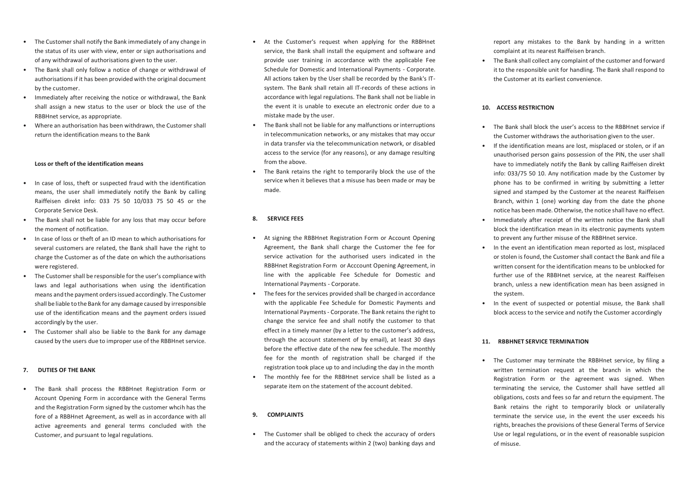- The Customer shall notify the Bank immediately of any change in the status of its user with view, enter or sign authorisations and of any withdrawal of authorisations given to the user.
- The Bank shall only follow a notice of change or withdrawal of authorisations if it has been provided with the original document by the customer.
- Immediately after receiving the notice or withdrawal, the Bank shall assign a new status to the user or block the use of the RBBHnet service, as appropriate.
- Where an authorisation has been withdrawn, the Customer shall return the identification means to the Bank

#### **Loss or theft of the identification means**

- In case of loss, theft or suspected fraud with the identification means, the user shall immediately notify the Bank by calling Raiffeisen direkt info: 033 75 50 10/033 75 50 45 or the Corporate Service Desk.
- The Bank shall not be liable for any loss that may occur before the moment of notification.
- In case of loss or theft of an ID mean to which authorisations for several customers are related, the Bank shall have the right to charge the Customer as of the date on which the authorisations were registered.
- The Customer shall be responsible for the user's compliance with laws and legal authorisations when using the identification means and the payment orders issued accordingly. The Customer shall be liable to the Bank for any damage caused by irresponsible use of the identification means and the payment orders issued accordingly by the user.
- The Customer shall also be liable to the Bank for any damage caused by the users due to improper use of the RBBHnet service.

#### **7. DUTIES OF THE BANK**

• The Bank shall process the RBBHnet Registration Form or Account Opening Form in accordance with the General Terms and the Registration Form signed by the customer whcih has the fore of a RBBHnet Agreement, as well as in accordance with all active agreements and general terms concluded with the Customer, and pursuant to legal regulations.

- At the Customer's request when applying for the RBBHnet service, the Bank shall install the equipment and software and provide user training in accordance with the applicable Fee Schedule for Domestic and International Payments - Corporate. All actions taken by the User shall be recorded by the Bank's ITsystem. The Bank shall retain all IT-records of these actions in accordance with legal regulations. The Bank shall not be liable in the event it is unable to execute an electronic order due to a mistake made by the user.
- The Bank shall not be liable for any malfunctions or interruptions in telecommunication networks, or any mistakes that may occur in data transfer via the telecommunication network, or disabled access to the service (for any reasons), or any damage resulting from the above.
- The Bank retains the right to temporarily block the use of the service when it believes that a misuse has been made or may be made.

#### **8. SERVICE FEES**

- At signing the RBBHnet Registration Form or Account Opening Agreement, the Bank shall charge the Customer the fee for service activation for the authorised users indicated in the RBBHnet Registration Form or Acccount Opening Agreement, in line with the applicable Fee Schedule for Domestic and International Payments - Corporate.
- The fees for the services provided shall be charged in accordance with the applicable Fee Schedule for Domestic Payments and International Payments - Corporate. The Bank retains the right to change the service fee and shall notify the customer to that effect in a timely manner (by a letter to the customer's address, through the account statement of by email), at least 30 days before the effective date of the new fee schedule. The monthly fee for the month of registration shall be charged if the registration took place up to and including the day in the month
- The monthly fee for the RBBHnet service shall be listed as a separate item on the statement of the account debited.

# **9. COMPLAINTS**

• The Customer shall be obliged to check the accuracy of orders and the accuracy of statements within 2 (two) banking days and

report any mistakes to the Bank by handing in a written complaint at its nearest Raiffeisen branch.

• The Bank shall collect any complaint of the customer and forward it to the responsible unit for handling. The Bank shall respond to the Customer at its earliest convenience.

# **10. ACCESS RESTRICTION**

- The Bank shall block the user's access to the RBBHnet service if the Customer withdraws the authorisation given to the user.
- If the identification means are lost, misplaced or stolen, or if an unauthorised person gains possession of the PIN, the user shall have to immediately notify the Bank by calling Raiffeisen direkt info: 033/75 50 10. Any notification made by the Customer by phone has to be confirmed in writing by submitting a letter signed and stamped by the Customer at the nearest Raiffeisen Branch, within 1 (one) working day from the date the phone notice has been made. Otherwise, the notice shall have no effect.
- Immediately after receipt of the written notice the Bank shall block the identification mean in its electronic payments system to prevent any further misuse of the RBBHnet service.
- In the event an identification mean reported as lost, misplaced or stolen is found, the Customer shall contact the Bank and file a written consent for the identification means to be unblocked for further use of the RBBHnet service, at the nearest Raiffeisen branch, unless a new identification mean has been assigned in the system.
- In the event of suspected or potential misuse, the Bank shall block access to the service and notify the Customer accordingly

#### **11. RBBHNET SERVICE TERMINATION**

• The Customer may terminate the RBBHnet service, by filing a written termination request at the branch in which the Registration Form or the agreement was signed. When terminating the service, the Customer shall have settled all obligations, costs and fees so far and return the equipment. The Bank retains the right to temporarily block or unilaterally terminate the service use, in the event the user exceeds his rights, breaches the provisions of these General Terms of Service Use or legal regulations, or in the event of reasonable suspicion of misuse.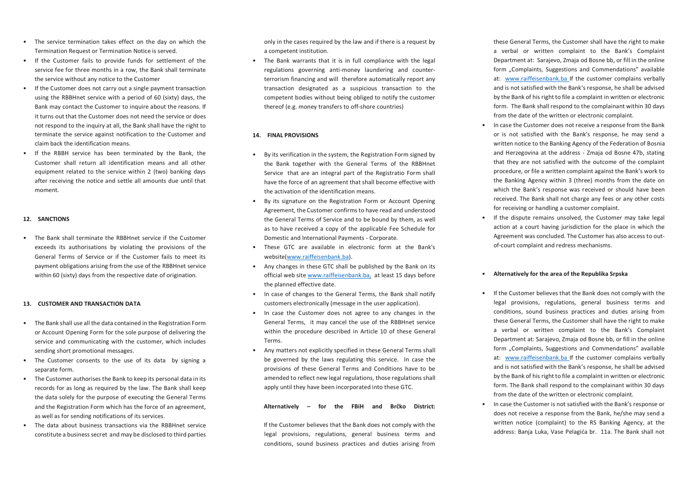- The service termination takes effect on the day on which the Termination Request or Termination Notice is served.
- If the Customer fails to provide funds for settlement of the service fee for three months in a row, the Bank shall terminate the service without any notice to the Customer
- If the Customer does not carry out a single payment transaction using the RBBHnet service with a period of 60 (sixty) days, the Bank may contact the Customer to inquire about the reasons. If it turns out that the Customer does not need the service or does not respond to the inquiry at all, the Bank shall have the right to terminate the service against notification to the Customer and claim back the identification means.
- If the RBBH service has been terminated by the Bank, the Customer shall return all identification means and all other equipment related to the service within 2 (two) banking days after receiving the notice and settle all amounts due until that moment.

#### **12. SANCTIONS**

• The Bank shall terminate the RBBHnet service if the Customer exceeds its authorisations by violating the provisions of the General Terms of Service or if the Customer fails to meet its payment obligations arising from the use of the RBBHnet service within 60 (sixty) days from the respective date of origination.

#### **13. CUSTOMER AND TRANSACTION DATA**

- The Bank shall use all the data contained in the Registration Form or Account Opening Form for the sole purpose of delivering the service and communicating with the customer, which includes sending short promotional messages.
- The Customer consents to the use of its data by signing a separate form.
- The Customer authorises the Bank to keep its personal data in its records for as long as required by the law. The Bank shall keep the data solely for the purpose of executing the General Terms and the Registration Form which has the force of an agreement, as well as for sending notifications of its services.
- The data about business transactions via the RBBHnet service constitute a business secret and may be disclosed to third parties

only in the cases required by the law and if there is a request by a competent institution.

• The Bank warrants that it is in full compliance with the legal regulations governing anti-money laundering and counterterrorism financing and will therefore automatically report any transaction designated as a suspicious transaction to the competent bodies without being obliged to notify the customer thereof (e.g. money transfers to off-shore countries)

#### **14. FINAL PROVISIONS**

- By its verification in the system, the Registration Form signed by the Bank together with the General Terms of the RBBHnet Service that are an integral part of the Registratio Form shall have the force of an agreement that shall become effective with the activation of the identification means.
- By its signature on the Registration Form or Account Opening Agreement, the Customer confirms to have read and understood the General Terms of Service and to be bound by them, as well as to have received a copy of the applicable Fee Schedule for Domestic and International Payments - Corporate.
- These GTC are available in electronic form at the Bank's website[\(www.raiffeisenbank.ba\)](http://www.raiffeisenbank.ba/).
- Any changes in these GTC shall be published by the Bank on its official web sit[e www.raiffeisenbank.ba,](http://www.raiffeisenbank.ba/) at least 15 days before the planned effective date.
- In case of changes to the General Terms, the Bank shall notify customers electronically (message in the user application).
- In case the Customer does not agree to any changes in the General Terms, it may cancel the use of the RBBHnet service within the procedure described in Article 10 of these General Terms.
- Any matters not explicitly specified in these General Terms shall be governed by the laws regulating this service. In case the provisions of these General Terms and Conditions have to be amended to reflect new legal regulations, those regulations shall apply until they have been incorporated into these GTC.

**Alternatively – for the FBiH and Brčko District:**

If the Customer believes that the Bank does not comply with the legal provisions, regulations, general business terms and conditions, sound business practices and duties arising from

these General Terms, the Customer shall have the right to make a verbal or written complaint to the Bank's Complaint Department at: Sarajevo, Zmaja od Bosne bb, or fill in the online form ..Complaints, Suggestions and Commendations" available at: [www.raiffeisenbank.ba If](http://www.raiffeisenbank.ba/) the customer complains verbally and is not satisfied with the Bank's response, he shall be advised by the Bank of his right to file a complaint in written or electronic form. The Bank shall respond to the complainant within 30 days from the date of the written or electronic complaint.

- In case the Customer does not receive a response from the Bank or is not satisfied with the Bank's response, he may send a written notice to the Banking Agency of the Federation of Bosnia and Herzegovina at the address - Zmaja od Bosne 47b, stating that they are not satisfied with the outcome of the complaint procedure, or file a written complaint against the Bank's work to the Banking Agency within 3 (three) months from the date on which the Bank's response was received or should have been received. The Bank shall not charge any fees or any other costs for receiving or handling a customer complaint.
- If the dispute remains unsolved, the Customer may take legal action at a court having jurisdiction for the place in which the Agreement was concluded. The Customer has also access to outof-court complaint and redress mechanisms.

#### • **Alternatively for the area of the Republika Srpska**

- If the Customer believes that the Bank does not comply with the legal provisions, regulations, general business terms and conditions, sound business practices and duties arising from these General Terms, the Customer shall have the right to make a verbal or written complaint to the Bank's Complaint Department at: Sarajevo, Zmaja od Bosne bb, or fill in the online form "Complaints, Suggestions and Commendations" available at: [www.raiffeisenbank.ba If](http://www.raiffeisenbank.ba/) the customer complains verbally and is not satisfied with the Bank's response, he shall be advised by the Bank of his right to file a complaint in written or electronic form. The Bank shall respond to the complainant within 30 days from the date of the written or electronic complaint.
- In case the Customer is not satisfied with the Bank's response or does not receive a response from the Bank, he/she may send a written notice (complaint) to the RS Banking Agency, at the address: Banja Luka, Vase Pelagića br. 11a. The Bank shall not